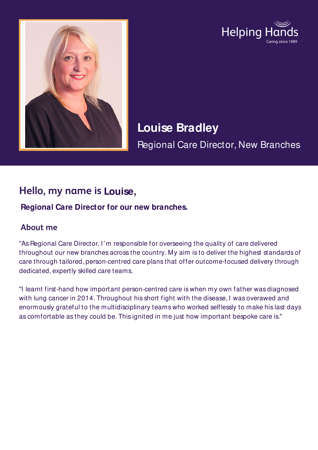



# **Louise Bradley**

Regional Care Director, New Branches

## **Hello, my name is Louise,**

#### **Regional Care Director for our new branches.**

#### **About me**

"As Regional Care Director, I'm responsible for overseeing the quality of care delivered throughout our new branches across the country. My aim is to deliver the highest standards of care through tailored, person-centred care plans that offer outcome-focused delivery through dedicated, expertly skilled care teams.

"I learnt first-hand how important person-centred care is when my own father was diagnosed with lung cancer in 2014. Throughout his short fight with the disease, I was overawed and enormously grateful to the multidisciplinary teams who worked selflessly to make his last days as comfortable as they could be. This ignited in me just how important bespoke care is."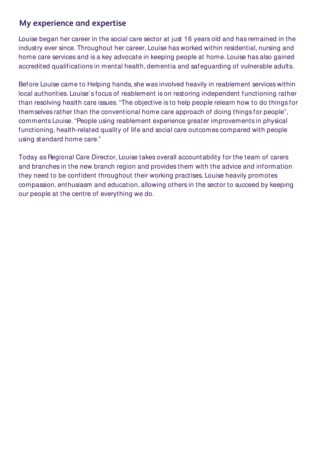#### **My experience and expertise**

Louise began her career in the social care sector at just 16 years old and has remained in the industry ever since. Throughout her career, Louise has worked within residential, nursing and home care services and is a key advocate in keeping people at home. Louise has also gained accredited qualifications in mental health, dementia and safeguarding of vulnerable adults.

Before Louise came to Helping hands, she was involved heavily in reablement services within local authorities. Louise's focus of reablement is on restoring independent functioning rather than resolving health care issues. "The objective is to help people relearn how to do things for themselves rather than the conventional home care approach of doing things for people", comments Louise. "People using reablement experience greater improvements in physical functioning, health-related quality of life and social care outcomes compared with people using standard home care."

Today as Regional Care Director, Louise takes overall accountability for the team of carers and branches in the new branch region and provides them with the advice and information they need to be confident throughout their working practises. Louise heavily promotes compassion, enthusiasm and education, allowing others in the sector to succeed by keeping our people at the centre of everything we do.